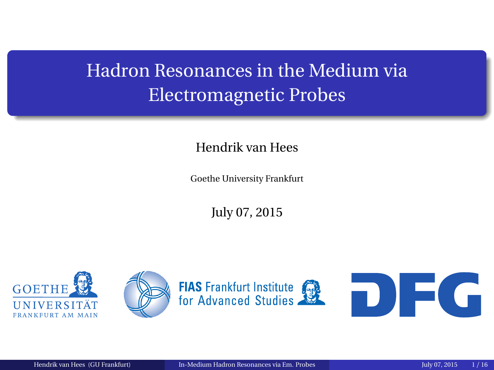# <span id="page-0-0"></span>Hadron Resonances in the Medium via Electromagnetic Probes

### Hendrik van Hees

Goethe University Frankfurt

July 07, 2015

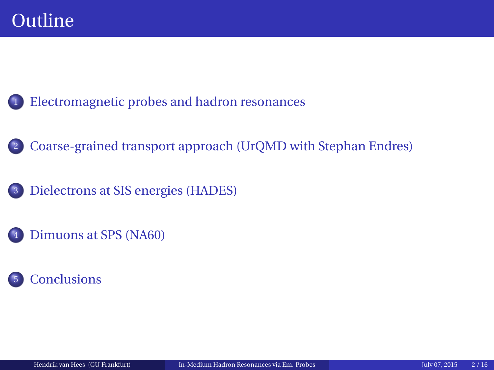<sup>1</sup> [Electromagnetic probes and hadron resonances](#page-2-0)

<sup>2</sup> [Coarse-grained transport approach \(UrQMD with Stephan Endres\)](#page-8-0)

<sup>3</sup> [Dielectrons at SIS energies \(HADES\)](#page-10-0)

[Dimuons at SPS \(NA60\)](#page-19-0)

### **[Conclusions](#page-38-0)**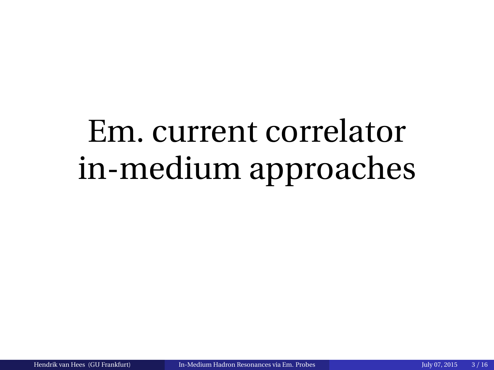# <span id="page-2-0"></span>Em. current correlator in-medium approaches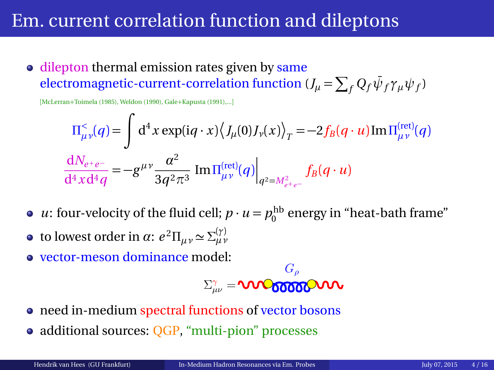### Em. current correlation function and dileptons

• dilepton thermal emission rates given by same  $\epsilon$  electromagnetic-current-correlation function ( $J_\mu = \sum_f Q_f \bar{\psi}_f \gamma_\mu \psi_f$ )

[McLerran+Toimela (1985), Weldon (1990), Gale+Kapusta (1991),...]

$$
\Pi_{\mu\nu}^{<}(q) = \int d^{4}x \exp(iq \cdot x) \langle J_{\mu}(0)J_{\nu}(x) \rangle_{T} = -2f_{B}(q \cdot u) \text{Im} \Pi_{\mu\nu}^{(\text{ret})}(q)
$$

$$
\frac{dN_{e+e-}}{d^{4}x d^{4}q} = -g^{\mu\nu} \frac{\alpha^{2}}{3q^{2} \pi^{3}} \text{Im} \Pi_{\mu\nu}^{(\text{ret})}(q) \Big|_{q^{2} = M_{e+e-}^{2}} f_{B}(q \cdot u)
$$

- *u*: four-velocity of the fluid cell;  $p \cdot u = p_0^{\text{hb}}$  energy in "heat-bath frame"
- **to lowest order in** *α***:**  $e^2 \Pi_{\mu\nu} \approx \Sigma_{\mu\nu}^{(\gamma)}$
- vector-meson dominance model:

$$
\Sigma_{\mu\nu}^{\gamma}=\text{VIVO66666}^{\text{G}_{\rho}}\text{VIV}
$$

- need in-medium spectral functions of vector bosons
- additional sources: OGP, "multi-pion" processes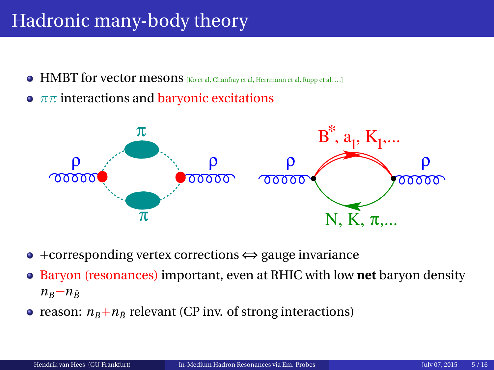# Hadronic many-body theory

- $\bullet$  HMBT for vector mesons [Ko et al, Chanfray et al, Herrmann et al, Rapp et al, ...]
- **•**  $ππ$  interactions and **baryonic excitations**



- +corresponding vertex corrections ⇔ gauge invariance
- Baryon (resonances) important, even at RHIC with low **net** baryon density  $n_B - n_{\bar{B}}$
- reason:  $n_B + n_{\bar{B}}$  relevant (CP inv. of strong interactions)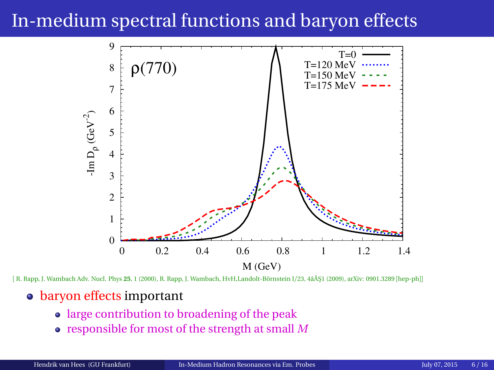# In-medium spectral functions and baryon effects



[ R. Rapp, J. Wambach Adv. Nucl. Phys **25**, 1 (2000), R. Rapp, J. Wambach, HvH,Landolt-Börnstein I/23, 4âĂŞ1 (2009), arXiv: 0901.3289 [hep-ph]]

### • baryon effects important

- large contribution to broadening of the peak
- responsible for most of the strength at small *M*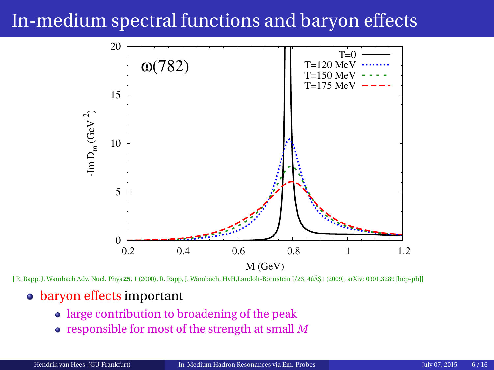# In-medium spectral functions and baryon effects



[ R. Rapp, J. Wambach Adv. Nucl. Phys **25**, 1 (2000), R. Rapp, J. Wambach, HvH,Landolt-Börnstein I/23, 4âĂŞ1 (2009), arXiv: 0901.3289 [hep-ph]]

#### • baryon effects important

- large contribution to broadening of the peak
- responsible for most of the strength at small *M*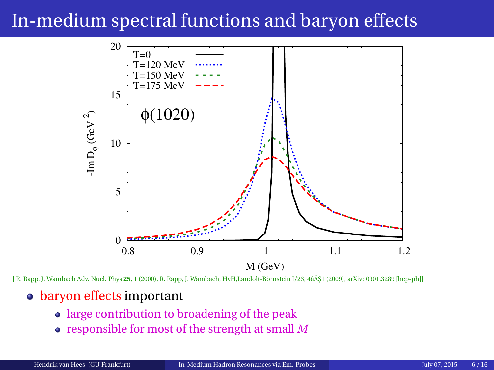# In-medium spectral functions and baryon effects



[ R. Rapp, J. Wambach Adv. Nucl. Phys **25**, 1 (2000), R. Rapp, J. Wambach, HvH,Landolt-Börnstein I/23, 4âĂŞ1 (2009), arXiv: 0901.3289 [hep-ph]]

#### • baryon effects important

- large contribution to broadening of the peak
- responsible for most of the strength at small *M*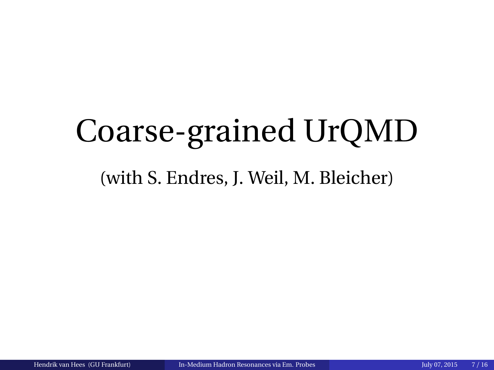# <span id="page-8-0"></span>Coarse-grained UrQMD

### (with S. Endres, J. Weil, M. Bleicher)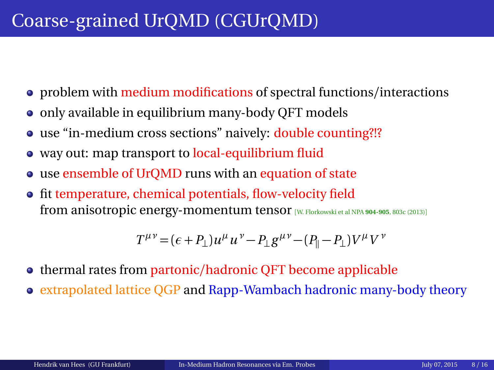# Coarse-grained UrQMD (CGUrQMD)

- problem with medium modifications of spectral functions/interactions
- only available in equilibrium many-body QFT models
- use "in-medium cross sections" naively: double counting?!?
- way out: map transport to local-equilibrium fluid
- use ensemble of UrQMD runs with an equation of state
- fit temperature, chemical potentials, flow-velocity field from anisotropic energy-momentum tensor [W. Florkowski et al NPA **904-905**, 803c (2013)]

$$
T^{\mu\nu} = (\epsilon + P_{\perp})u^{\mu}u^{\nu} - P_{\perp}g^{\mu\nu} - (P_{\parallel} - P_{\perp})V^{\mu}V^{\nu}
$$

- thermal rates from partonic/hadronic QFT become applicable
- extrapolated lattice QGP and Rapp-Wambach hadronic many-body theory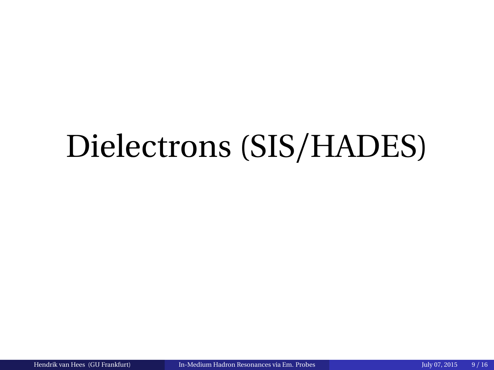# <span id="page-10-0"></span>Dielectrons (SIS/HADES)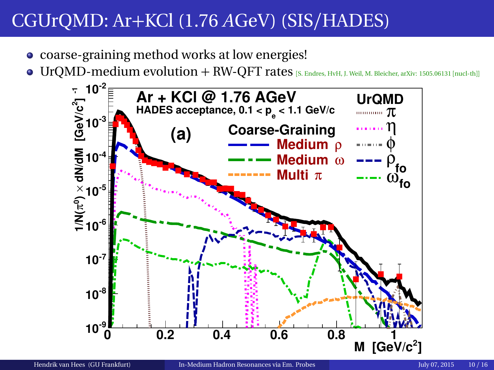- coarse-graining method works at low energies!
- $\bullet$  UrQMD-medium evolution + RW-QFT rates [S. Endres, HvH, J. Weil, M. Bleicher, arXiv: 1505.06131 [nucl-th]]

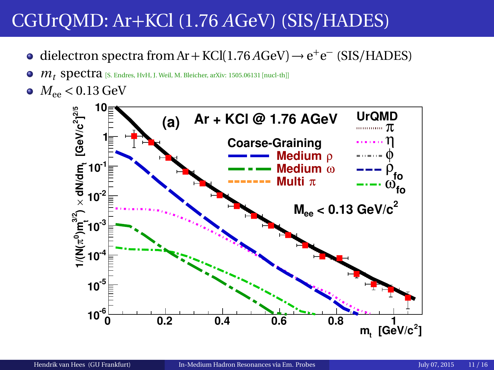- dielectron spectra from Ar + KCl(1.76  $A$ GeV)  $\rightarrow$  e<sup>+</sup>e<sup>-</sup> (SIS/HADES)
- $m_t$  **spectra** [S. Endres, HvH, J. Weil, M. Bleicher, arXiv: 1505.06131 [nucl-th]]  $\bullet$
- $M_{ee}$  < 0.13 GeV

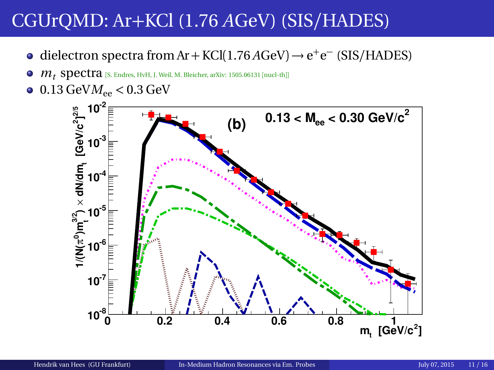- dielectron spectra from Ar + KCl(1.76 *A*GeV) → e<sup>+</sup>e<sup>-</sup> (SIS/HADES)
- $m_t$  Spectra [S. Endres, HvH, J. Weil, M. Bleicher, arXiv: 1505.06131 [nucl-th]]  $\bullet$
- $\bullet$  0.13 GeV $M_{ee}$  < 0.3 GeV

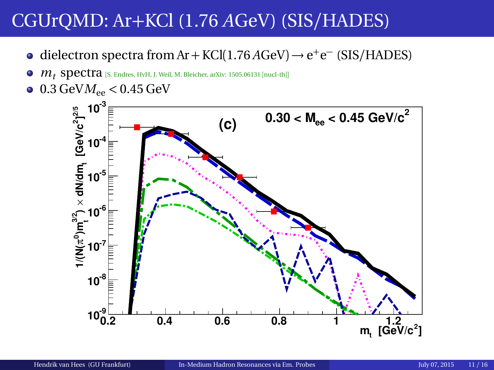- dielectron spectra from Ar + KCl(1.76  $A$ GeV)  $\rightarrow$  e<sup>+</sup>e<sup>-</sup> (SIS/HADES)
- $\bullet$  $m_t$  **spectra** [S. Endres, HvH, J. Weil, M. Bleicher, arXiv: 1505.06131 [nucl-th]]
- $\bullet$  0.3 GeV $M_{ee}$  < 0.45 GeV

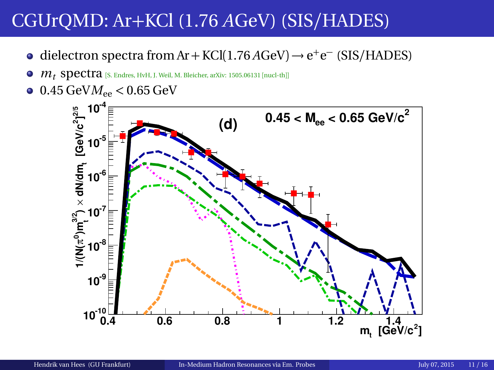- dielectron spectra from Ar + KCl(1.76  $A$ GeV)  $\rightarrow$  e<sup>+</sup>e<sup>-</sup> (SIS/HADES)
- $m_t$  Spectra [S. Endres, HvH, J. Weil, M. Bleicher, arXiv: 1505.06131 [nucl-th]]  $\bullet$
- $0.45 \text{ GeV}$  $M_{ee}$  < 0.65 GeV

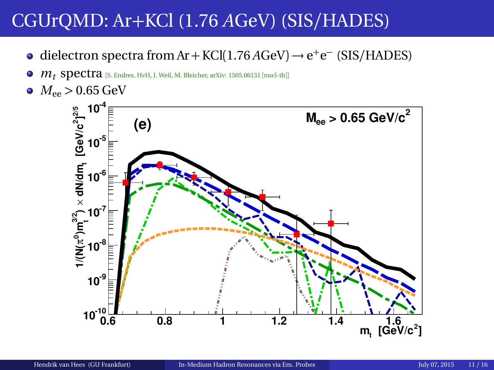- dielectron spectra from Ar + KCl(1.76  $A$ GeV)  $\rightarrow$  e<sup>+</sup>e<sup>-</sup> (SIS/HADES)
- $m_t$  **spectra** [S. Endres, HvH, J. Weil, M. Bleicher, arXiv: 1505.06131 [nucl-th]]  $\bullet$
- $M_{ee}$  > 0.65 GeV

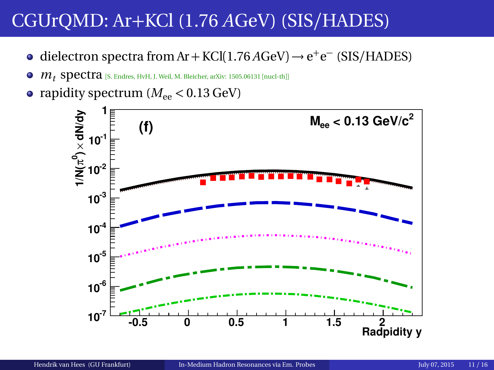- dielectron spectra from Ar + KCl(1.76 *A*GeV) → e<sup>+</sup>e<sup>-</sup> (SIS/HADES)
- $\bullet$   $m_t$  spectra [S. Endres, HvH, J. Weil, M. Bleicher, arXiv: 1505.06131 [nucl-th]]
- rapidity spectrum  $(M_{ee} < 0.13 \text{ GeV})$

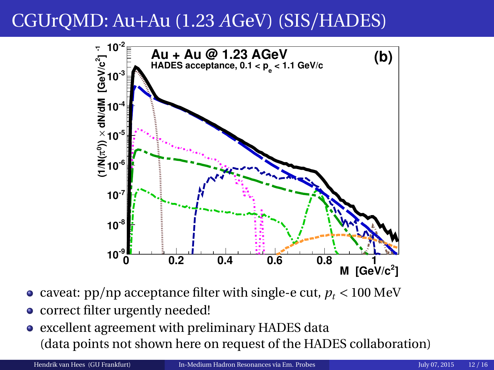# CGUrQMD: Au+Au (1.23 *A*GeV) (SIS/HADES)



- caveat:  $pp/np$  acceptance filter with single-e cut,  $p_t < 100$  MeV
- correct filter urgently needed!
- excellent agreement with preliminary HADES data (data points not shown here on request of the HADES collaboration)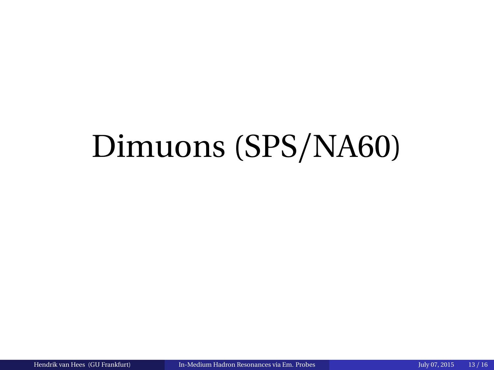# <span id="page-19-0"></span>Dimuons (SPS/NA60)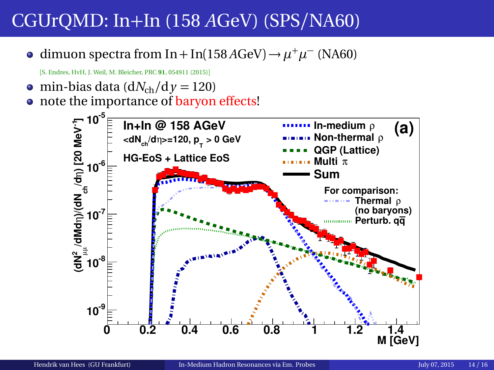dimuon spectra from In + In(158 *A*GeV) →  $\mu^+\mu^-$  (NA60)

[S. Endres, HvH, J. Weil, M. Bleicher, PRC **91**, 054911 (2015)]

 $\bullet$  min-bias data (d*N*<sub>ch</sub>/d *y* = 120)

• note the importance of baryon effects!

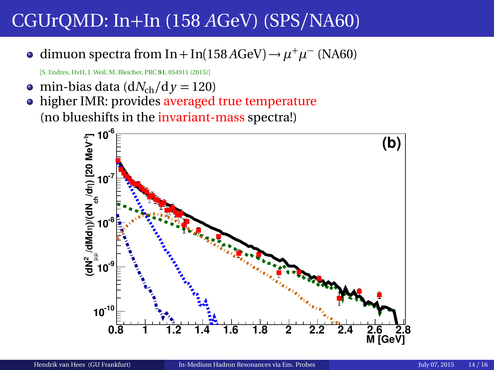dimuon spectra from In + In(158 *A*GeV) →  $\mu^+\mu^-$  (NA60)

[S. Endres, HvH, J. Weil, M. Bleicher, PRC **91**, 054911 (2015)]

 $\bullet$  min-bias data (d*N*<sub>ch</sub>/d *y* = 120)

• higher IMR: provides averaged true temperature (no blueshifts in the invariant-mass spectra!)

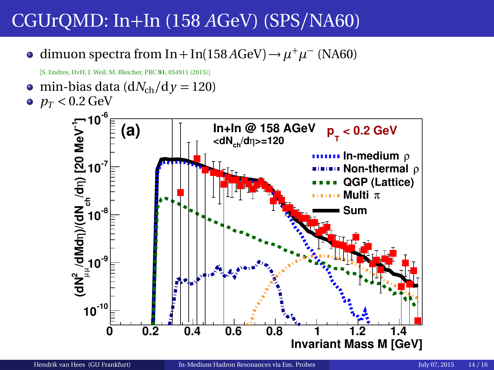dimuon spectra from In + In(158 *A*GeV) →  $\mu^+\mu^-$  (NA60)

[S. Endres, HvH, J. Weil, M. Bleicher, PRC **91**, 054911 (2015)]

• min-bias data  $\left(\frac{dN_{ch}}{dy}\right) = 120$  $p_T < 0.2$  GeV

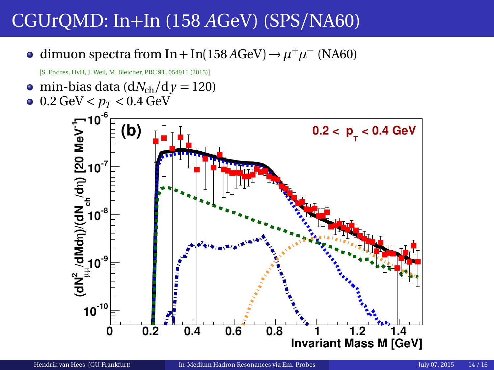dimuon spectra from In + In(158 *A*GeV) →  $\mu^+\mu^-$  (NA60)

[S. Endres, HvH, J. Weil, M. Bleicher, PRC **91**, 054911 (2015)]

• min-bias data  $\left(\frac{dN_{ch}}{dy}\right) = 120$  $0.2 \text{ GeV} < p_T < 0.4 \text{ GeV}$ 

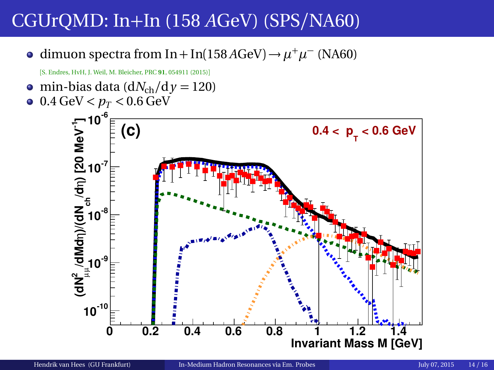dimuon spectra from In + In(158 *A*GeV) →  $\mu^+\mu^-$  (NA60)

[S. Endres, HvH, J. Weil, M. Bleicher, PRC **91**, 054911 (2015)]

• min-bias data  $\left(\frac{dN_{ch}}{dy}\right) = 120$  $0.4 \text{ GeV} < p_T < 0.6 \text{ GeV}$ 

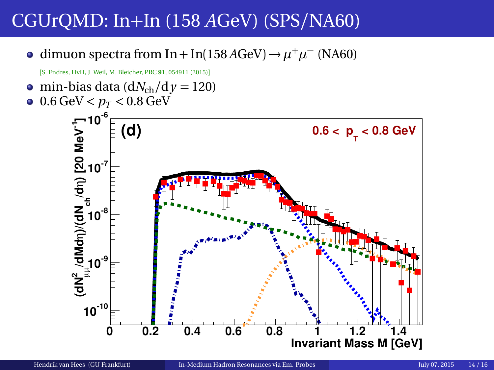dimuon spectra from In + In(158 *A*GeV) →  $\mu^+\mu^-$  (NA60)

[S. Endres, HvH, J. Weil, M. Bleicher, PRC **91**, 054911 (2015)]

• min-bias data  $\left(\frac{dN_{ch}}{dy}\right) = 120$  $\bullet$  0.6 GeV  $< p_T < 0.8$  GeV

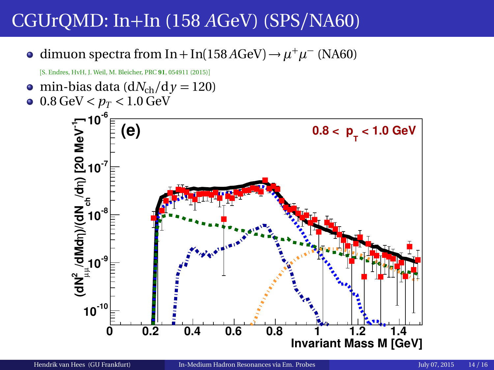dimuon spectra from In + In(158 *A*GeV) →  $\mu^+\mu^-$  (NA60)

[S. Endres, HvH, J. Weil, M. Bleicher, PRC **91**, 054911 (2015)]

• min-bias data  $\left(\frac{dN_{ch}}{dy}\right) = 120$  $\bullet$  0.8 GeV  $< p_T < 1.0$  GeV

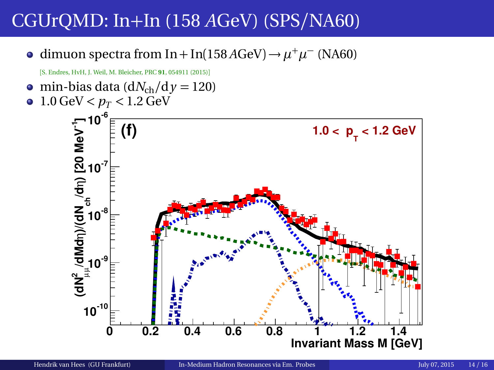dimuon spectra from In + In(158 *A*GeV) →  $\mu^+\mu^-$  (NA60)

[S. Endres, HvH, J. Weil, M. Bleicher, PRC **91**, 054911 (2015)]

• min-bias data  $\left(\frac{dN_{ch}}{dy}\right) = 120$  $1.0 \text{ GeV} < p_T < 1.2 \text{ GeV}$  $\bullet$ 

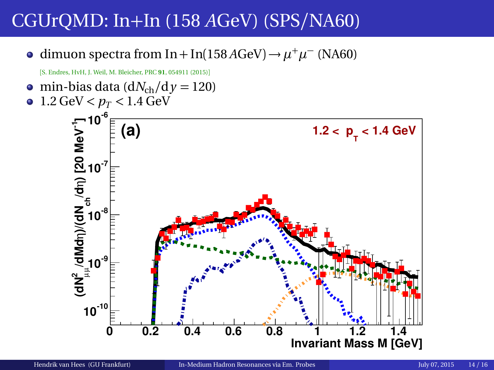dimuon spectra from In + In(158 *A*GeV) →  $\mu^+\mu^-$  (NA60)

[S. Endres, HvH, J. Weil, M. Bleicher, PRC **91**, 054911 (2015)]

• min-bias data  $\left(\frac{dN_{ch}}{dy}\right) = 120$  $1.2 \text{ GeV} < p_T < 1.4 \text{ GeV}$  $\bullet$ 

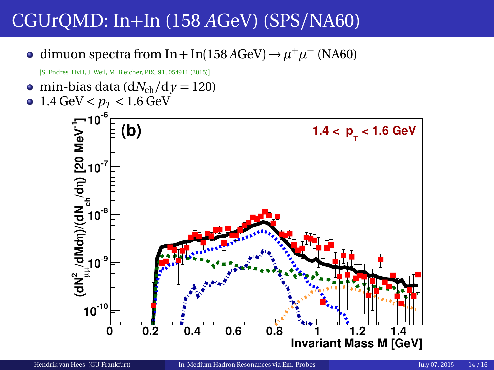dimuon spectra from In + In(158 *A*GeV) →  $\mu^+\mu^-$  (NA60)

[S. Endres, HvH, J. Weil, M. Bleicher, PRC **91**, 054911 (2015)]

• min-bias data  $\left(\frac{dN_{ch}}{dy}\right) = 120$  $1.4 \text{ GeV} < p_T < 1.6 \text{ GeV}$  $\bullet$ 

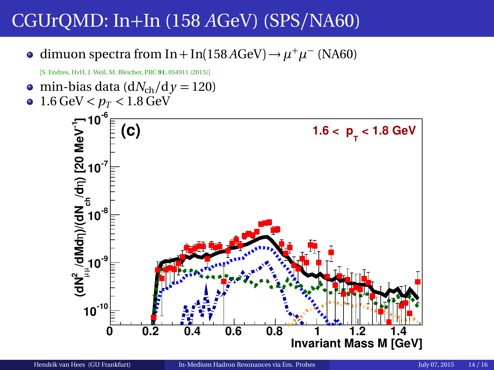dimuon spectra from In + In(158 *A*GeV) →  $\mu^+\mu^-$  (NA60)

[S. Endres, HvH, J. Weil, M. Bleicher, PRC **91**, 054911 (2015)]

• min-bias data  $\left(\frac{dN_{ch}}{dy}\right) = 120$  $1.6 \text{ GeV} < p_T < 1.8 \text{ GeV}$  $\bullet$  **-6 10 /dN<sup>2</sup>/dMdn**)/(**dN** <sub>ch</sub> (d 1)<br>|d<br>|d<br>|d<br>|d **(C)**  $1.6 < p_{\text{T}} < 1.8 \text{ GeV}$  $10^{-7}$  $10^{3}$ **-9 10**

 $10^{-10}$ 

**0 0.2 0.4 0.6 0.8 1 1.2 1.4**

**Invariant Mass M [GeV]**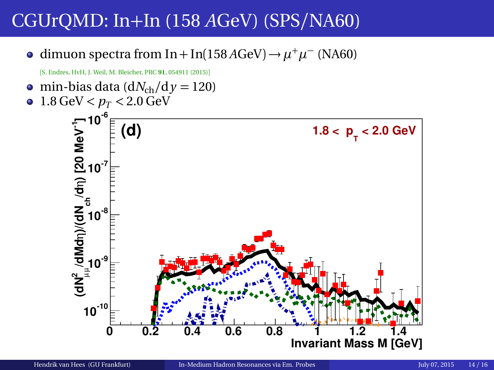dimuon spectra from In + In(158 *A*GeV) →  $\mu^+\mu^-$  (NA60)

[S. Endres, HvH, J. Weil, M. Bleicher, PRC **91**, 054911 (2015)]

• min-bias data  $\left(\frac{dN_{ch}}{dy}\right) = 120$  $1.8 \text{ GeV} < p_T < 2.0 \text{ GeV}$  $\bullet$ 

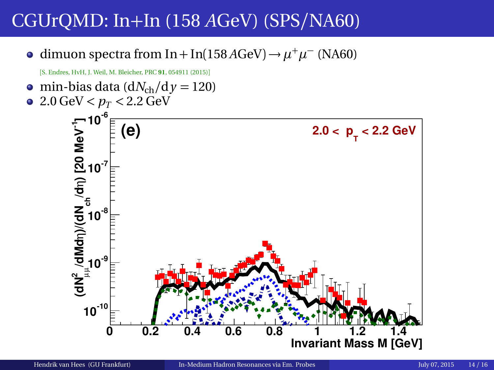dimuon spectra from In + In(158 *A*GeV) →  $\mu^+\mu^-$  (NA60)

[S. Endres, HvH, J. Weil, M. Bleicher, PRC **91**, 054911 (2015)]

• min-bias data  $\left(\frac{dN_{ch}}{dy}\right) = 120$  $\bullet$  2.0 GeV  $< p_T < 2.2$  GeV **/dN<sup>2</sup>/dMdn**)/(**dN** <sub>ch</sub> (d 1)<br>|d<br>|d<br>|d<br>|d **-6 10**  $10^{3}$  $10^{-7}$ **(e) 2.0** <  $p_{T}$  < 2.2 GeV

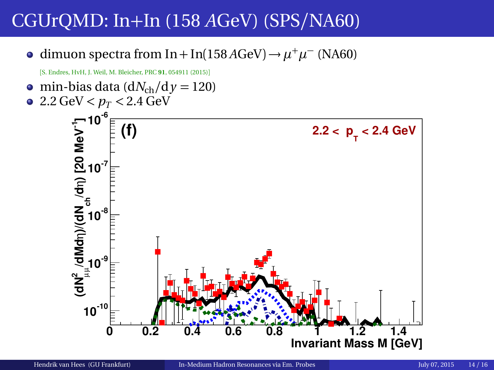dimuon spectra from In + In(158 *A*GeV) →  $\mu^+\mu^-$  (NA60)

[S. Endres, HvH, J. Weil, M. Bleicher, PRC **91**, 054911 (2015)]

• min-bias data  $\left(\frac{dN_{ch}}{dy}\right) = 120$  $\bullet$  2.2 GeV  $< p_T < 2.4$  GeV **-6 10**  $10^{3}$  $10^{-7}$ **(f)**  $2.2 < p_{\text{T}} < 2.4 \text{ GeV}$ 

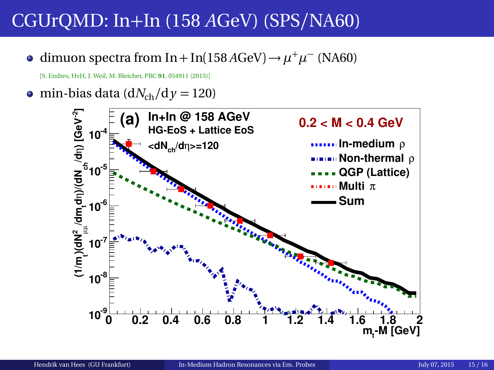dimuon spectra from In + In(158 *A*GeV) →  $\mu^+ \mu^-$  (NA60)

[S. Endres, HvH, J. Weil, M. Bleicher, PRC **91**, 054911 (2015)]

 $\bullet$  min-bias data (d*N*<sub>ch</sub>/d *y* = 120)

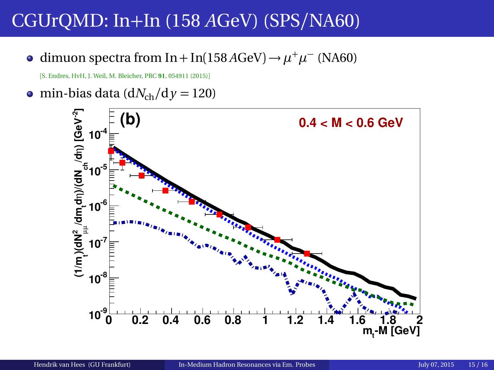dimuon spectra from In + In(158 *A*GeV) →  $\mu^+ \mu^-$  (NA60)

[S. Endres, HvH, J. Weil, M. Bleicher, PRC **91**, 054911 (2015)]

• min-bias data ( $dN_{ch}/dy = 120$ )

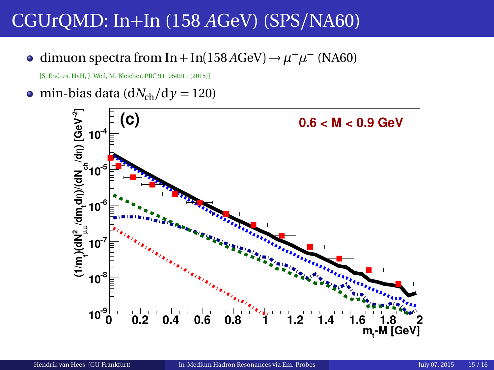dimuon spectra from In + In(158 *A*GeV) →  $\mu^+ \mu^-$  (NA60)

[S. Endres, HvH, J. Weil, M. Bleicher, PRC **91**, 054911 (2015)]

• min-bias data ( $dN_{ch}/dy = 120$ )

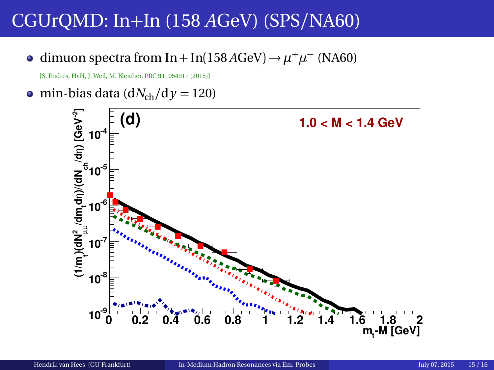dimuon spectra from In + In(158 *A*GeV) →  $\mu^+ \mu^-$  (NA60)

[S. Endres, HvH, J. Weil, M. Bleicher, PRC **91**, 054911 (2015)]

• min-bias data ( $dN_{ch}/dy = 120$ )